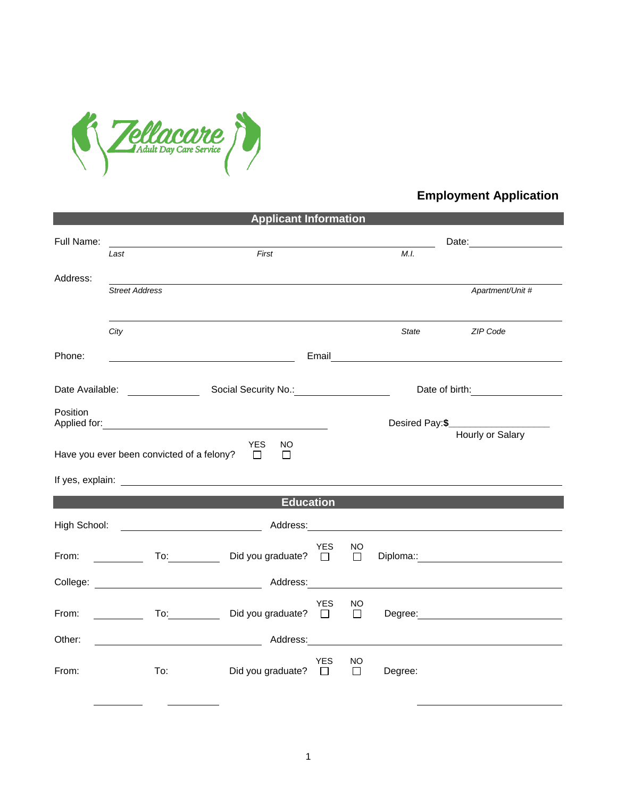

## **Employment Application**

| <b>Applicant Information</b>                                                                |                                                                                                                                                                                                                                                               |                             |            |                             |                                  |                                                                                                                                                                                                                                |  |  |  |  |
|---------------------------------------------------------------------------------------------|---------------------------------------------------------------------------------------------------------------------------------------------------------------------------------------------------------------------------------------------------------------|-----------------------------|------------|-----------------------------|----------------------------------|--------------------------------------------------------------------------------------------------------------------------------------------------------------------------------------------------------------------------------|--|--|--|--|
| Full Name:                                                                                  |                                                                                                                                                                                                                                                               |                             |            | Date: <u>______________</u> |                                  |                                                                                                                                                                                                                                |  |  |  |  |
|                                                                                             | Last                                                                                                                                                                                                                                                          | First                       |            |                             | M.I.                             |                                                                                                                                                                                                                                |  |  |  |  |
| Address:                                                                                    | <b>Street Address</b>                                                                                                                                                                                                                                         |                             |            |                             |                                  | Apartment/Unit #                                                                                                                                                                                                               |  |  |  |  |
|                                                                                             |                                                                                                                                                                                                                                                               |                             |            |                             |                                  |                                                                                                                                                                                                                                |  |  |  |  |
|                                                                                             | City                                                                                                                                                                                                                                                          |                             |            |                             | State                            | ZIP Code                                                                                                                                                                                                                       |  |  |  |  |
| Phone:                                                                                      |                                                                                                                                                                                                                                                               |                             |            |                             |                                  |                                                                                                                                                                                                                                |  |  |  |  |
|                                                                                             |                                                                                                                                                                                                                                                               |                             |            |                             | Date of birth: _________________ |                                                                                                                                                                                                                                |  |  |  |  |
| Position                                                                                    |                                                                                                                                                                                                                                                               |                             |            |                             |                                  | Desired Pay:\$______________________                                                                                                                                                                                           |  |  |  |  |
| Hourly or Salary<br>YES.<br>NO.<br>Have you ever been convicted of a felony?<br>$\Box$<br>П |                                                                                                                                                                                                                                                               |                             |            |                             |                                  |                                                                                                                                                                                                                                |  |  |  |  |
|                                                                                             |                                                                                                                                                                                                                                                               |                             |            |                             |                                  |                                                                                                                                                                                                                                |  |  |  |  |
| <b>Education</b>                                                                            |                                                                                                                                                                                                                                                               |                             |            |                             |                                  |                                                                                                                                                                                                                                |  |  |  |  |
| High School:                                                                                |                                                                                                                                                                                                                                                               |                             |            |                             |                                  |                                                                                                                                                                                                                                |  |  |  |  |
| From:                                                                                       |                                                                                                                                                                                                                                                               | Did you graduate? □         | YES        | <b>NO</b><br>$\Box$         |                                  |                                                                                                                                                                                                                                |  |  |  |  |
|                                                                                             |                                                                                                                                                                                                                                                               |                             |            |                             |                                  |                                                                                                                                                                                                                                |  |  |  |  |
| From:                                                                                       | To: the contract of the contract of the contract of the contract of the contract of the contract of the contract of the contract of the contract of the contract of the contract of the contract of the contract of the contra<br>$\mathcal{L} = \mathcal{L}$ | Did you graduate? $\Box$    | <b>YES</b> | NO<br>$\Box$                |                                  | Degree: National Contract of the Contract of the Contract of the Contract of the Contract of the Contract of the Contract of the Contract of the Contract of the Contract of the Contract of the Contract of the Contract of t |  |  |  |  |
| Other:                                                                                      |                                                                                                                                                                                                                                                               |                             |            |                             |                                  |                                                                                                                                                                                                                                |  |  |  |  |
| From:                                                                                       | To:                                                                                                                                                                                                                                                           | Did you graduate? $\square$ | <b>YES</b> | <b>NO</b><br>$\Box$         | Degree:                          |                                                                                                                                                                                                                                |  |  |  |  |
|                                                                                             |                                                                                                                                                                                                                                                               |                             |            |                             |                                  |                                                                                                                                                                                                                                |  |  |  |  |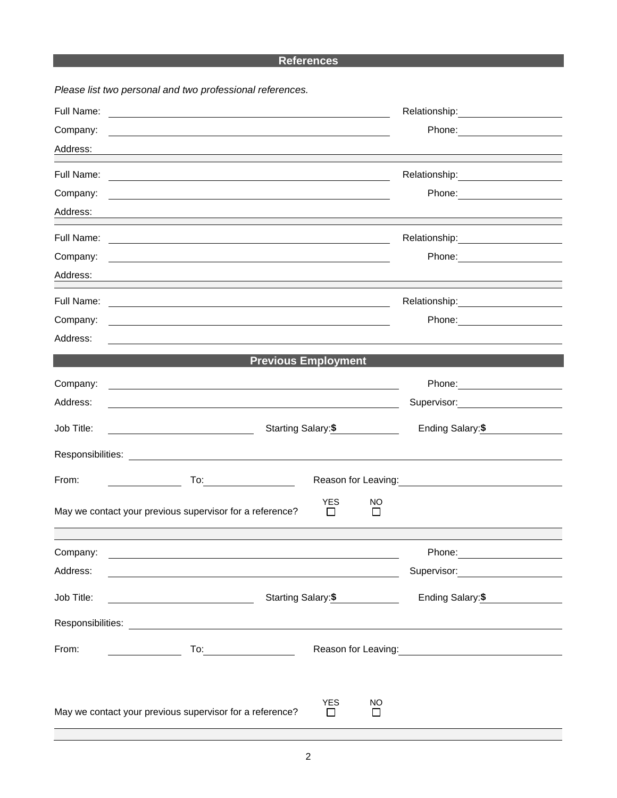## **References**

|            | Please list two personal and two professional references.                                                              |                                                                                                                                                                                                                                        |
|------------|------------------------------------------------------------------------------------------------------------------------|----------------------------------------------------------------------------------------------------------------------------------------------------------------------------------------------------------------------------------------|
| Full Name: | <u> 1989 - Johann Stoff, deutscher Stoffen und der Stoffen und der Stoffen und der Stoffen und der Stoffen und der</u> | Relationship:<br><u> </u>                                                                                                                                                                                                              |
| Company:   |                                                                                                                        |                                                                                                                                                                                                                                        |
| Address:   |                                                                                                                        |                                                                                                                                                                                                                                        |
| Full Name: | <u> 1989 - Johann Barn, fransk politik (f. 1989)</u>                                                                   |                                                                                                                                                                                                                                        |
| Company:   | and the control of the control of the control of the control of the control of the control of the control of the       |                                                                                                                                                                                                                                        |
| Address:   | <u> 1989 - Johann Stoff, amerikansk politiker (* 1908)</u>                                                             |                                                                                                                                                                                                                                        |
| Full Name: |                                                                                                                        |                                                                                                                                                                                                                                        |
| Company:   | <u> 1989 - Johann Stoff, deutscher Stoff, der Stoff, der Stoff, der Stoff, der Stoff, der Stoff, der Stoff, der S</u>  | Phone: <u>______________</u>                                                                                                                                                                                                           |
| Address:   |                                                                                                                        |                                                                                                                                                                                                                                        |
| Full Name: |                                                                                                                        | Relationship: 2000                                                                                                                                                                                                                     |
| Company:   |                                                                                                                        |                                                                                                                                                                                                                                        |
| Address:   |                                                                                                                        |                                                                                                                                                                                                                                        |
|            | <b>Previous Employment</b>                                                                                             |                                                                                                                                                                                                                                        |
| Company:   | <u> 1989 - Johann Stein, marwolaethau a bhann an t-Amhain ann an t-Amhain an t-Amhain an t-Amhain an t-Amhain an </u>  |                                                                                                                                                                                                                                        |
| Address:   | <u> 1989 - Jan Samuel Barbara, margaret eta idazlea (h. 1989).</u>                                                     | Supervisor: <b>Example 2019</b>                                                                                                                                                                                                        |
| Job Title: | Starting Salary:\$                                                                                                     | Ending Salary:\$                                                                                                                                                                                                                       |
|            |                                                                                                                        |                                                                                                                                                                                                                                        |
| From:      | $\overline{a}$ To: $\overline{a}$ To:                                                                                  | Reason for Leaving:<br><u>example and the set of the set of the set of the set of the set of the set of the set of the set of the set of the set of the set of the set of the set of the set of the set of the set of the set of t</u> |
|            | <b>YES</b><br>May we contact your previous supervisor for a reference?<br>$\Box$                                       | NO.<br>$\mathsf{L}$                                                                                                                                                                                                                    |
|            |                                                                                                                        |                                                                                                                                                                                                                                        |
| Company:   |                                                                                                                        |                                                                                                                                                                                                                                        |
| Address:   |                                                                                                                        | Supervisor: <b>Supervisor:</b>                                                                                                                                                                                                         |
| Job Title: | Starting Salary: \$<br><u> 1980 - Johann Barnett, fransk politik (</u>                                                 | Ending Salary:\$                                                                                                                                                                                                                       |
|            |                                                                                                                        |                                                                                                                                                                                                                                        |
| From:      | $To: \begin{tabular}{ c c c } \hline \quad \quad & \quad \quad & \quad \quad \\ \hline \end{tabular}$                  | Reason for Leaving:<br><u>Neason</u> for Leaving:                                                                                                                                                                                      |
|            |                                                                                                                        |                                                                                                                                                                                                                                        |
|            | <b>YES</b><br>May we contact your previous supervisor for a reference?<br>$\Box$                                       | NO                                                                                                                                                                                                                                     |